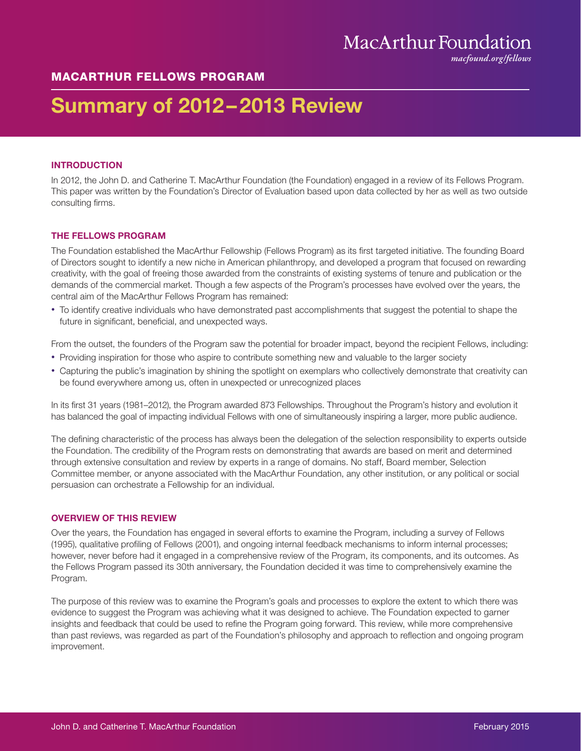## MacArthur Foundation

*macfound.org/fellows*

## MACARTHUR FELLOWS PROGRAM

# Summary of 2012–2013 Review

## INTRODUCTION

In 2012, the John D. and Catherine T. MacArthur Foundation (the Foundation) engaged in a review of its Fellows Program. This paper was written by the Foundation's Director of Evaluation based upon data collected by her as well as two outside consulting firms.

## THE FELLOWS PROGRAM

The Foundation established the MacArthur Fellowship (Fellows Program) as its first targeted initiative. The founding Board of Directors sought to identify a new niche in American philanthropy, and developed a program that focused on rewarding creativity, with the goal of freeing those awarded from the constraints of existing systems of tenure and publication or the demands of the commercial market. Though a few aspects of the Program's processes have evolved over the years, the central aim of the MacArthur Fellows Program has remained:

• To identify creative individuals who have demonstrated past accomplishments that suggest the potential to shape the future in significant, beneficial, and unexpected ways.

From the outset, the founders of the Program saw the potential for broader impact, beyond the recipient Fellows, including:

- Providing inspiration for those who aspire to contribute something new and valuable to the larger society
- Capturing the public's imagination by shining the spotlight on exemplars who collectively demonstrate that creativity can be found everywhere among us, often in unexpected or unrecognized places

In its first 31 years (1981–2012), the Program awarded 873 Fellowships. Throughout the Program's history and evolution it has balanced the goal of impacting individual Fellows with one of simultaneously inspiring a larger, more public audience.

The defining characteristic of the process has always been the delegation of the selection responsibility to experts outside the Foundation. The credibility of the Program rests on demonstrating that awards are based on merit and determined through extensive consultation and review by experts in a range of domains. No staff, Board member, Selection Committee member, or anyone associated with the MacArthur Foundation, any other institution, or any political or social persuasion can orchestrate a Fellowship for an individual.

## OVERVIEW OF THIS REVIEW

Over the years, the Foundation has engaged in several efforts to examine the Program, including a survey of Fellows (1995), qualitative profiling of Fellows (2001), and ongoing internal feedback mechanisms to inform internal processes; however, never before had it engaged in a comprehensive review of the Program, its components, and its outcomes. As the Fellows Program passed its 30th anniversary, the Foundation decided it was time to comprehensively examine the Program.

The purpose of this review was to examine the Program's goals and processes to explore the extent to which there was evidence to suggest the Program was achieving what it was designed to achieve. The Foundation expected to garner insights and feedback that could be used to refine the Program going forward. This review, while more comprehensive than past reviews, was regarded as part of the Foundation's philosophy and approach to reflection and ongoing program improvement.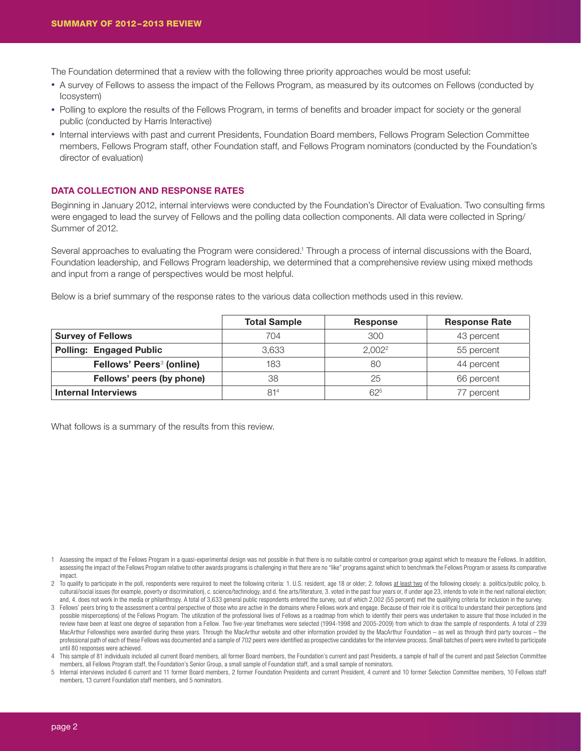The Foundation determined that a review with the following three priority approaches would be most useful:

- A survey of Fellows to assess the impact of the Fellows Program, as measured by its outcomes on Fellows (conducted by Icosystem)
- Polling to explore the results of the Fellows Program, in terms of benefits and broader impact for society or the general public (conducted by Harris Interactive)
- Internal interviews with past and current Presidents, Foundation Board members, Fellows Program Selection Committee members, Fellows Program staff, other Foundation staff, and Fellows Program nominators (conducted by the Foundation's director of evaluation)

## DATA COLLECTION AND RESPONSE RATES

Beginning in January 2012, internal interviews were conducted by the Foundation's Director of Evaluation. Two consulting firms were engaged to lead the survey of Fellows and the polling data collection components. All data were collected in Spring/ Summer of 2012.

Several approaches to evaluating the Program were considered.<sup>1</sup> Through a process of internal discussions with the Board, Foundation leadership, and Fellows Program leadership, we determined that a comprehensive review using mixed methods and input from a range of perspectives would be most helpful.

Below is a brief summary of the response rates to the various data collection methods used in this review.

|                                      | <b>Total Sample</b> | <b>Response</b>    | <b>Response Rate</b> |
|--------------------------------------|---------------------|--------------------|----------------------|
| <b>Survey of Fellows</b>             | 704                 | 300                | 43 percent           |
| <b>Polling: Engaged Public</b>       | 3.633               | 2.002 <sup>2</sup> | 55 percent           |
| Fellows' Peers <sup>3</sup> (online) | 183                 | 80                 | 44 percent           |
| Fellows' peers (by phone)            | 38                  | 25                 | 66 percent           |
| <b>Internal Interviews</b>           | 81 <sup>4</sup>     | 625                | 77 percent           |

What follows is a summary of the results from this review.

- 1 Assessing the impact of the Fellows Program in a quasi-experimental design was not possible in that there is no suitable control or comparison group against which to measure the Fellows. In addition, assessing the impact of the Fellows Program relative to other awards programs is challenging in that there are no "like" programs against which to benchmark the Fellows Program or assess its comparative impact.
- 2 To qualify to participate in the poll, respondents were required to meet the following criteria: 1. U.S. resident, age 18 or older; 2. follows at least two of the following closely: a. politics/public policy, b. cultural/social issues (for example, poverty or discrimination), c. science/technology, and d. fine arts/literature, 3. voted in the past four years or, if under age 23, intends to vote in the next national election; and, 4. does not work in the media or philanthropy. A total of 3,633 general public respondents entered the survey, out of which 2,002 (55 percent) met the qualifying criteria for inclusion in the survey.
- 3 Fellows' peers bring to the assessment a central perspective of those who are active in the domains where Fellows work and engage. Because of their role it is critical to understand their perceptions (and possible misperceptions) of the Fellows Program. The utilization of the professional lives of Fellows as a roadmap from which to identify their peers was undertaken to assure that those included in the review have been at least one degree of separation from a Fellow. Two five-year timeframes were selected (1994-1998 and 2005-2009) from which to draw the sample of respondents. A total of 239 MacArthur Fellowships were awarded during these years. Through the MacArthur website and other information provided by the MacArthur Foundation - as well as through third party sources - the professional path of each of these Fellows was documented and a sample of 702 peers were identified as prospective candidates for the interview process. Small batches of peers were invited to participate until 80 responses were achieved.
- 4 This sample of 81 individuals included all current Board members, all former Board members, the Foundation's current and past Presidents, a sample of half of the current and past Selection Committee members, all Fellows Program staff, the Foundation's Senior Group, a small sample of Foundation staff, and a small sample of nominators.
- 5 Internal interviews included 6 current and 11 former Board members, 2 former Foundation Presidents and current President, 4 current and 10 former Selection Committee members, 10 Fellows staff members, 13 current Foundation staff members, and 5 nominators.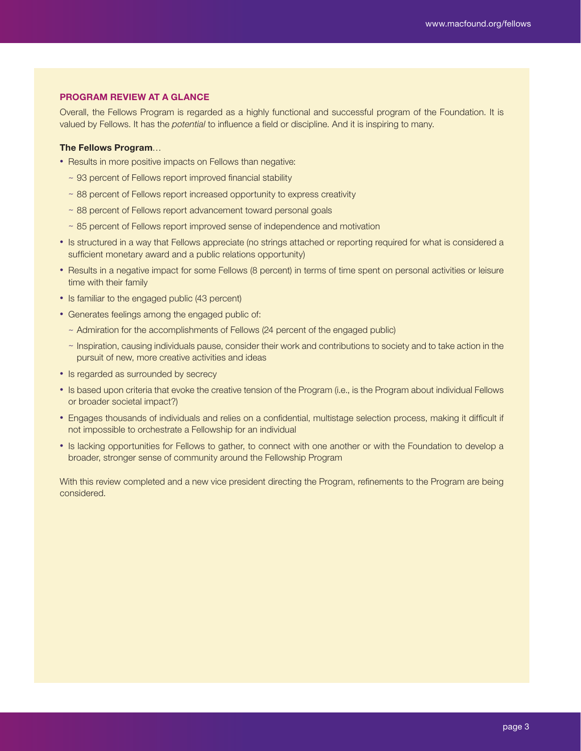## PROGRAM REVIEW AT A GLANCE

Overall, the Fellows Program is regarded as a highly functional and successful program of the Foundation. It is valued by Fellows. It has the *potential* to influence a field or discipline. And it is inspiring to many.

## The Fellows Program…

- Results in more positive impacts on Fellows than negative:
	- ~ 93 percent of Fellows report improved financial stability
	- ~ 88 percent of Fellows report increased opportunity to express creativity
	- ~ 88 percent of Fellows report advancement toward personal goals
	- ~ 85 percent of Fellows report improved sense of independence and motivation
- Is structured in a way that Fellows appreciate (no strings attached or reporting required for what is considered a sufficient monetary award and a public relations opportunity)
- Results in a negative impact for some Fellows (8 percent) in terms of time spent on personal activities or leisure time with their family
- Is familiar to the engaged public (43 percent)
- Generates feelings among the engaged public of:
	- ~ Admiration for the accomplishments of Fellows (24 percent of the engaged public)
	- ~ Inspiration, causing individuals pause, consider their work and contributions to society and to take action in the pursuit of new, more creative activities and ideas
- Is regarded as surrounded by secrecy
- Is based upon criteria that evoke the creative tension of the Program (i.e., is the Program about individual Fellows or broader societal impact?)
- Engages thousands of individuals and relies on a confidential, multistage selection process, making it difficult if not impossible to orchestrate a Fellowship for an individual
- Is lacking opportunities for Fellows to gather, to connect with one another or with the Foundation to develop a broader, stronger sense of community around the Fellowship Program

With this review completed and a new vice president directing the Program, refinements to the Program are being considered.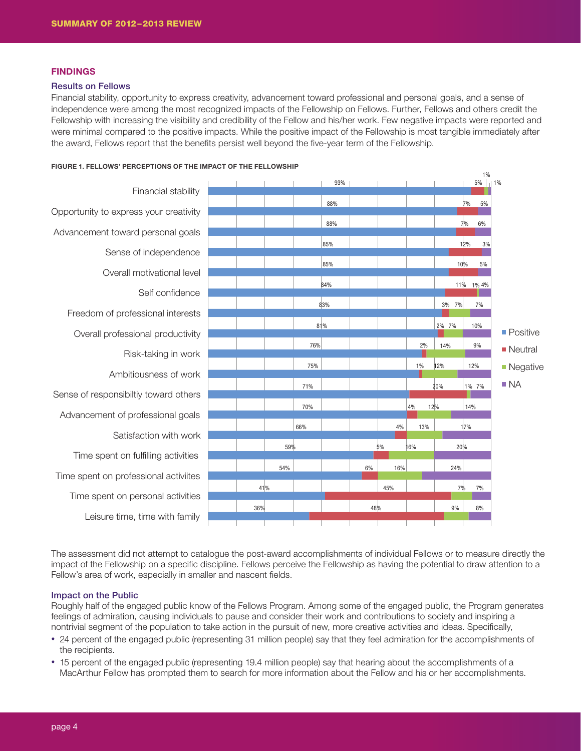## **FINDINGS**

#### Results on Fellows

Financial stability, opportunity to express creativity, advancement toward professional and personal goals, and a sense of independence were among the most recognized impacts of the Fellowship on Fellows. Further, Fellows and others credit the Fellowship with increasing the visibility and credibility of the Fellow and his/her work. Few negative impacts were reported and were minimal compared to the positive impacts. While the positive impact of the Fellowship is most tangible immediately after the award, Fellows report that the benefits persist well beyond the five-year term of the Fellowship.



FIGURE 1. FELLOWS' PERCEPTIONS OF THE IMPACT OF THE FELLOWSHIP

The assessment did not attempt to catalogue the post-award accomplishments of individual Fellows or to measure directly the impact of the Fellowship on a specific discipline. Fellows perceive the Fellowship as having the potential to draw attention to a Fellow's area of work, especially in smaller and nascent fields.

### Impact on the Public

Roughly half of the engaged public know of the Fellows Program. Among some of the engaged public, the Program generates feelings of admiration, causing individuals to pause and consider their work and contributions to society and inspiring a nontrivial segment of the population to take action in the pursuit of new, more creative activities and ideas. Specifically,

- 24 percent of the engaged public (representing 31 million people) say that they feel admiration for the accomplishments of the recipients.
- 15 percent of the engaged public (representing 19.4 million people) say that hearing about the accomplishments of a MacArthur Fellow has prompted them to search for more information about the Fellow and his or her accomplishments.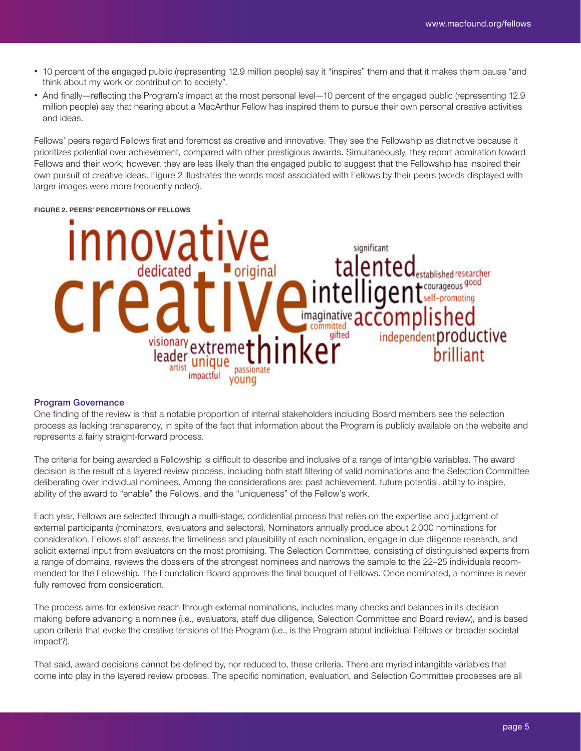- 10 percent of the engaged public (representing 12.9 million people) say it "inspires" them and that it makes them pause "and think about my work or contribution to society".
- And finally—reflecting the Program's impact at the most personal level—10 percent of the engaged public (representing 12.9 million people) say that hearing about a MacArthur Fellow has inspired them to pursue their own personal creative activities and ideas.

Fellows' peers regard Fellows first and foremost as creative and innovative. They see the Fellowship as distinctive because it prioritizes potential over achievement, compared with other prestigious awards. Simultaneously, they report admiration toward Fellows and their work; however, they are less likely than the engaged public to suggest that the Fellowship has inspired their own pursuit of creative ideas. Figure 2 illustrates the words most associated with Fellows by their peers (words displayed with larger images were more frequently noted).

#### FIGURE 2. PEERS' PERCEPTIONS OF FELLOWS



#### Program Governance

One finding of the review is that a notable proportion of internal stakeholders including Board members see the selection process as lacking transparency, in spite of the fact that information about the Program is publicly available on the website and represents a fairly straight-forward process.

The criteria for being awarded a Fellowship is difficult to describe and inclusive of a range of intangible variables. The award decision is the result of a layered review process, including both staff filtering of valid nominations and the Selection Committee deliberating over individual nominees. Among the considerations are: past achievement, future potential, ability to inspire, ability of the award to "enable" the Fellows, and the "uniqueness" of the Fellow's work.

Each year, Fellows are selected through a multi-stage, confidential process that relies on the expertise and judgment of external participants (nominators, evaluators and selectors). Nominators annually produce about 2,000 nominations for consideration. Fellows staff assess the timeliness and plausibility of each nomination, engage in due diligence research, and solicit external input from evaluators on the most promising. The Selection Committee, consisting of distinguished experts from a range of domains, reviews the dossiers of the strongest nominees and narrows the sample to the 22–25 individuals recommended for the Fellowship. The Foundation Board approves the final bouquet of Fellows. Once nominated, a nominee is never fully removed from consideration.

The process aims for extensive reach through external nominations, includes many checks and balances in its decision making before advancing a nominee (i.e., evaluators, staff due diligence, Selection Committee and Board review), and is based upon criteria that evoke the creative tensions of the Program (i.e., is the Program about individual Fellows or broader societal impact?).

That said, award decisions cannot be defined by, nor reduced to, these criteria. There are myriad intangible variables that come into play in the layered review process. The specific nomination, evaluation, and Selection Committee processes are all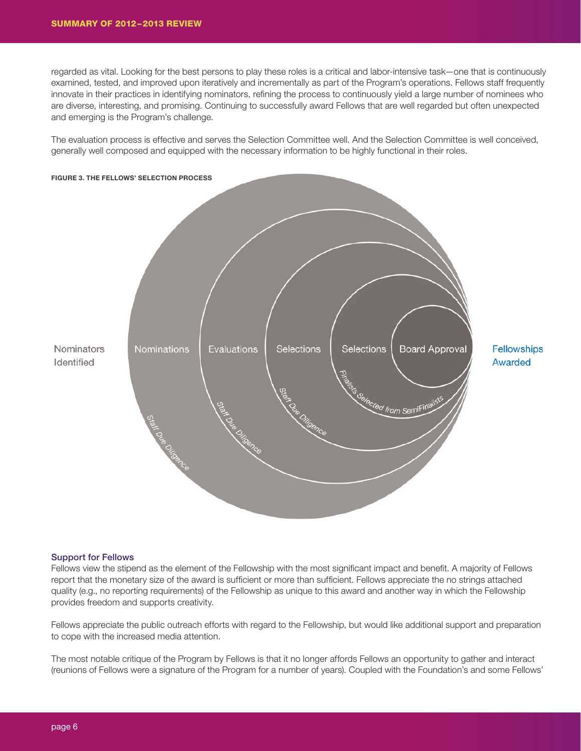regarded as vital. Looking for the best persons to play these roles is a critical and labor-intensive task—one that is continuously examined, tested, and improved upon iteratively and incrementally as part of the Program's operations. Fellows staff frequently innovate in their practices in identifying nominators, refining the process to continuously yield a large number of nominees who are diverse, interesting, and promising. Continuing to successfully award Fellows that are well regarded but often unexpected and emerging is the Program's challenge.

The evaluation process is effective and serves the Selection Committee well. And the Selection Committee is well conceived, generally well composed and equipped with the necessary information to be highly functional in their roles.



#### Support for Fellows

Fellows view the stipend as the element of the Fellowship with the most significant impact and benefit. A majority of Fellows report that the monetary size of the award is sufficient or more than sufficient. Fellows appreciate the no strings attached quality (e.g., no reporting requirements) of the Fellowship as unique to this award and another way in which the Fellowship provides freedom and supports creativity.

Fellows appreciate the public outreach efforts with regard to the Fellowship, but would like additional support and preparation to cope with the increased media attention.

The most notable critique of the Program by Fellows is that it no longer affords Fellows an opportunity to gather and interact (reunions of Fellows were a signature of the Program for a number of years). Coupled with the Foundation's and some Fellows'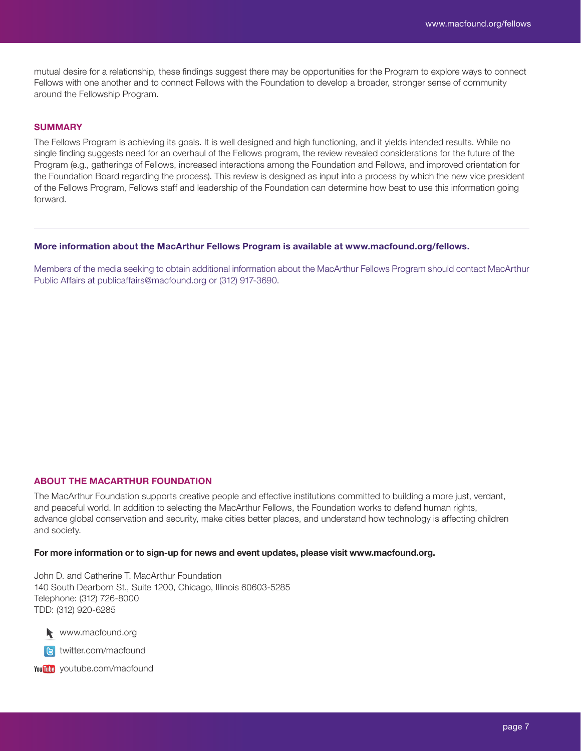mutual desire for a relationship, these findings suggest there may be opportunities for the Program to explore ways to connect Fellows with one another and to connect Fellows with the Foundation to develop a broader, stronger sense of community around the Fellowship Program.

## **SUMMARY**

The Fellows Program is achieving its goals. It is well designed and high functioning, and it yields intended results. While no single finding suggests need for an overhaul of the Fellows program, the review revealed considerations for the future of the Program (e.g., gatherings of Fellows, increased interactions among the Foundation and Fellows, and improved orientation for the Foundation Board regarding the process). This review is designed as input into a process by which the new vice president of the Fellows Program, Fellows staff and leadership of the Foundation can determine how best to use this information going forward.

## More information about the MacArthur Fellows Program is available at www.macfound.org/fellows.

Members of the media seeking to obtain additional information about the MacArthur Fellows Program should contact MacArthur Public Affairs at publicaffairs@macfound.org or (312) 917-3690.

## ABOUT THE MACARTHUR FOUNDATION

The MacArthur Foundation supports creative people and effective institutions committed to building a more just, verdant, and peaceful world. In addition to selecting the MacArthur Fellows, the Foundation works to defend human rights, advance global conservation and security, make cities better places, and understand how technology is affecting children and society.

## For more information or to sign-up for news and event updates, please visit www.macfound.org.

John D. and Catherine T. MacArthur Foundation 140 South Dearborn St., Suite 1200, Chicago, Illinois 60603-5285 Telephone: (312) 726-8000 TDD: (312) 920-6285

www.macfound.org www. macfound.org



youtube.com/macfound youtube.com/macfound